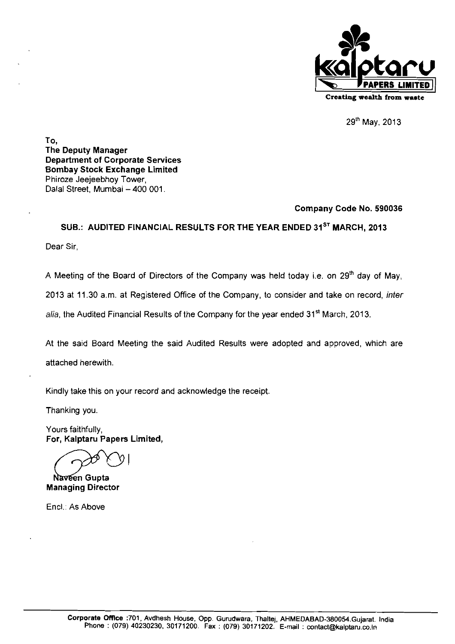

29th May, 2013

To, The Deputy Manager Department of Corporate Services Bombay Stock Exchange Limited Phiroze Jeejeebhoy Tower, Dalal Street, Mumbai - 400 001.

# Company Code No. **590036**

SUB.: AUDITED FINANCIAL RESULTS FOR THE YEAR ENDED **31ST** MARCH, **2013** 

Dear Sir.

A Meeting of the Board of Directors of the Company was held today i.e. on 29<sup>th</sup> day of May,

2013 at 11.30 a.m. at Registered Office of the Company, to consider and take on record, inter

alia, the Audited Financial Results of the Company for the year ended 31<sup>st</sup> March, 2013.

At the said Board Meeting the said Audited Results were adopted and approved, which are attached herewith,

Kindly take this on your record and acknowledge the receipt

Thanking you.

Yours faithfully, For, Kalptaru Papers Limited,

Naveen Gupta Managing Director

Encl.: As Above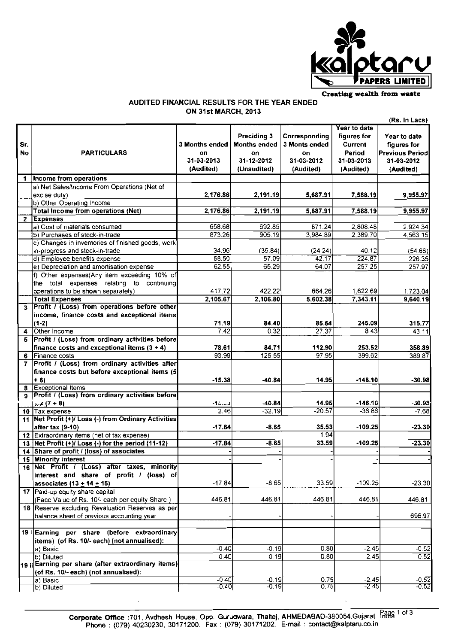

# **AUDITED FINANCIAL RESULTS FOR THE YEAR ENDED ON 31st MARCH, 2013**

|              |                                                      |                       |                     |                      |              | (Rs. In Lacs)          |
|--------------|------------------------------------------------------|-----------------------|---------------------|----------------------|--------------|------------------------|
|              |                                                      |                       |                     |                      | Year to date |                        |
|              |                                                      |                       | Preciding 3         | Corresponding        | figures for  | Year to date           |
| Sr.          |                                                      | <b>3 Months ended</b> | <b>Months ended</b> | <b>3 Monts ended</b> | Current      | figures for            |
| No           | <b>PARTICULARS</b>                                   | on                    | on                  | on                   | Period       | <b>Previous Period</b> |
|              |                                                      | 31-03-2013            | 31-12-2012          | 31-03-2012           | 31-03-2013   | 31-03-2012             |
|              |                                                      | (Audited)             | (Unaudited)         | (Audited)            | (Audited)    | (Audited)              |
| 1            | Income from operations                               |                       |                     |                      |              |                        |
|              | a) Net Sales/Income From Operations (Net of          |                       |                     |                      |              |                        |
|              | excise duty)                                         | 2,176.86              | 2,191.19            | 5,687.91             | 7.588.19     | 9,955.97               |
|              | b) Other Operating Income                            |                       |                     |                      |              |                        |
|              | <b>Total Income from operations (Net)</b>            | 2,176.86              | 2,191.19            | 5,687.91             | 7,588.19     | 9,955.97               |
| $\mathbf{2}$ | <b>Expenses</b>                                      |                       |                     |                      |              |                        |
|              | a) Cost of materials consumed                        | 658.68                | 692.85              | 871.24               | 2,808.48     | 2.924.34               |
|              | b) Purchases of stock-in-trade                       | 873.26                | 905.19              | 3,984.89             | 2,389.70     | 4.563.15               |
|              | c) Changes in inventories of finished goods, work    |                       |                     |                      |              |                        |
|              | in-progress and stock-in-trade                       | 34.96                 | (35.84)             | (24.24)              | 40.12        | (54.66)                |
|              | d) Employee benefits expense                         | 58.50                 | 57.09               | 42.17                | 224.87       | 226.35                 |
|              | e) Depreciation and amortisation expense             | 62.55                 | 65.29               | 64.07                | 257 25       | 257.97                 |
|              | f) Other expenses(Any item exceeding 10% of          |                       |                     |                      |              |                        |
|              | the total expenses relating to continuing            |                       |                     |                      |              |                        |
|              | operations to be shown separately)                   | 417.72                | 422.22              | 664.26               | 1,622.69     | 1,723.04               |
|              | <b>Total Expenses</b>                                | 2,105.67              | 2,106.80            | 5,602.38             | 7,343.11     | 9,640.19               |
| $\mathbf{3}$ | Profit / (Loss) from operations before other         |                       |                     |                      |              |                        |
|              | income, finance costs and exceptional items          |                       |                     |                      |              |                        |
|              | $(1-2)$                                              | 71.19                 | 84.40               | 85.54                | 245.09       | 315.77                 |
| 4            | Other Income                                         | 7.42                  | 0.32                | 27.37                | 8.43         | 43.11                  |
| 5            | Profit / (Loss) from ordinary activities before      |                       |                     |                      |              |                        |
|              | finance costs and exceptional items $(3 + 4)$        | 78.61                 | 84.71               | 112.90               | 253.52       | 358.89                 |
| 6            | Finance costs                                        | 93.99                 | 125.55              | 97.95                | 399.62       | 389.87                 |
|              | Profit / (Loss) from ordinary activities after       |                       |                     |                      |              |                        |
|              | finance costs but before exceptional items (5)       |                       |                     |                      |              |                        |
|              | $+6$                                                 | $-15.38$              | $-40.84$            | 14.95                | $-146.10$    | $-30.98$               |
| 8            | <b>Exceptional Items</b>                             |                       |                     |                      |              |                        |
| 9.           | Profit / (Loss) from ordinary activities before      |                       |                     |                      |              |                        |
|              | $u \times (7 + 8)$                                   | دی. یا ۱۰             | -40.84              | 14.95                | $-146.10$    | $-30.98$               |
|              | 10 Tax expense                                       | 2.46                  | $-32.19$            | $-20.57$             | $-36.86$     | $-7.68$                |
|              | 11 Net Profit (+)/ Loss (-) from Ordinary Activities |                       |                     |                      |              |                        |
|              | after tax (9-10)                                     | $-17.84$              | $-8.65$             | 35.53                | $-109.25$    | $-23.30$               |
| 12           | Extraordinary items (net of tax expense)             |                       |                     | 1.94                 |              |                        |
| 13           | Net Profit (+)/ Loss (-) for the period (11-12)      | $-17.84$              | $-8.65$             | 33.59                | $-109.25$    | $-23.30$               |
| 14           | Share of profit / (loss) of associates               |                       |                     |                      |              |                        |
|              | 15 Minority interest                                 |                       |                     |                      |              |                        |
|              | 16 Net Profit / (Loss) after taxes, minority         |                       |                     |                      |              |                        |
|              | interest and share of profit / (loss) of             |                       |                     |                      |              |                        |
|              | associates $(13 + 14 + 15)$                          | $-17.84$              | $-8.65$             | 33.59                | $-109.25$    | $-23.30$               |
|              | 17 Paid-up equity share capital                      |                       |                     |                      |              |                        |
|              | (Face Value of Rs. 10/- each per equity Share)       | 446.81                | 446.81              | 446.81               | 446.81       | 446.81                 |
|              | 18 Reserve excluding Revaluation Reserves as per     |                       |                     |                      |              |                        |
|              | balance sheet of previous accounting year            |                       |                     |                      |              | 696.97                 |
|              |                                                      |                       |                     |                      |              |                        |
|              | 19 i Earning per share (before extraordinary         |                       |                     |                      |              |                        |
|              | items) (of Rs. 10/- each) (not annualised):          |                       |                     |                      |              |                        |
|              | a) Basic                                             | $-0.40$               | $-0.19$             | 0.80                 | $-2.45$      | $-0.52$                |
|              | b) Diluted                                           | $-0.40$               | $-0.19$             | 0.80                 | $-2.45$      | $-0.52$                |
|              | 19 ii Earning per share (after extraordinary items)  |                       |                     |                      |              |                        |
|              | (of Rs. 10/- each) (not annualised):                 |                       |                     |                      |              |                        |
|              | a) Basic                                             | -0.40                 | $-0.19$             | 0.75                 | $-2.45$      | $-0.52$                |
|              | b) Diluted                                           | -०.४०१                | $-0.19$             | 0.75                 | $-2.45$      | $-0.52$                |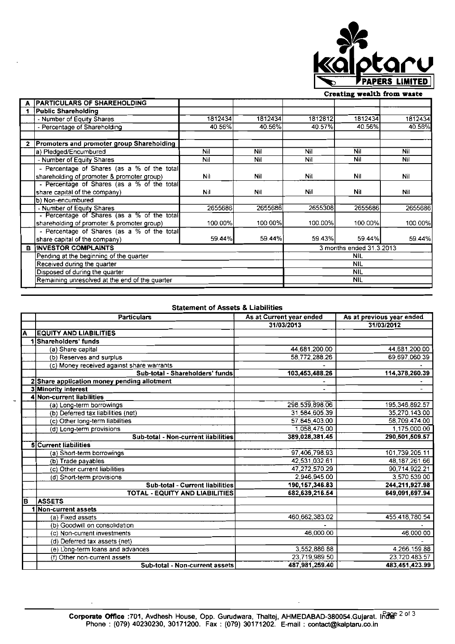

## **Creating wealth** from **wute**

|    | <b>PARTICULARS OF SHAREHOLDING</b>                            |         |         |            |                          |         |
|----|---------------------------------------------------------------|---------|---------|------------|--------------------------|---------|
| 1. | Public Shareholding                                           |         |         |            |                          |         |
|    | - Number of Equity Shares                                     | 1812434 | 1812434 | 1812812    | 1812434                  | 1812434 |
|    | - Percentage of Shareholding                                  | 40.56%  | 40.56%  | 40.57%     | 40.56%                   | 40.56%  |
|    |                                                               |         |         |            |                          |         |
|    | Promoters and promoter group Shareholding                     |         |         |            |                          |         |
|    | a) Pledged/Encumbured                                         | Nil     | Nil     | Nil        | Nil                      | Nil     |
|    | - Number of Equity Shares                                     | Nil     | Nil     | Nil        | Nil                      | Nil     |
|    | - Percentage of Shares (as a % of the total                   |         |         |            |                          |         |
|    | shareholding of promoter & promoter group)                    | Nil     | Nil     | Nil        | Nil                      | Nil     |
|    | - Percentage of Shares (as a % of the total                   |         |         |            |                          |         |
|    | share capital of the company)                                 | Nil     | Nil     | <b>Nil</b> | Nil                      | Nil     |
|    | b) Non-encumbured                                             |         |         |            |                          |         |
|    | - Number of Equity Shares                                     | 2655686 | 2655686 | 2655308    | 2655686                  | 2655686 |
|    | - Percentage of Shares (as a % of the total                   |         |         |            |                          |         |
|    | shareholding of promoter & promoter group)                    | 100.00% | 100.00% | 100.00%    | 100.00%                  | 100.00% |
|    | - Percentage of Shares (as a % of the total                   |         |         |            |                          |         |
|    | share capital of the company)                                 | 59.44%  | 59.44%  | 59.43%     | 59.44%I                  | 59.44%  |
| в  | <b>INVESTOR COMPLAINTS</b>                                    |         |         |            | 3 months ended 31.3.2013 |         |
|    | Pending at the beginning of the quarter                       |         |         | <b>NIL</b> |                          |         |
|    | Received during the quarter<br>Disposed of during the quarter |         |         | NIL        |                          |         |
|    |                                                               |         |         | <b>NIL</b> |                          |         |
|    | Remaining unresolved at the end of the quarter                |         |         | <b>NIL</b> |                          |         |
|    |                                                               |         |         |            |                          |         |

### Statement of Assets *8* Liabilities

|     | <b>Particulars</b>                          | As at Current year ended | As at previous year ended |
|-----|---------------------------------------------|--------------------------|---------------------------|
|     |                                             | 31/03/2013               | 31/03/2012                |
| A   | <b>EQUITY AND LIABILITIES</b>               |                          |                           |
|     | 1 Shareholders' funds                       |                          |                           |
|     | (a) Share capital                           | 44.681.200.00            | 44,681,200.00             |
|     | (b) Reserves and surplus                    | 58.772.288.26            | 69,697,060.39             |
|     | (c) Money received against share warrants   |                          |                           |
|     | Sub-total - Shareholders' funds             | 103,453,488.26           | 114,378,260.39            |
|     | 2 Share application money pending allotment |                          |                           |
|     | 3 Minority interest                         |                          |                           |
|     | 4 Non-current liabilities                   |                          |                           |
|     | (a) Long-term borrowings                    | 298.539.898.06           | 195,346,892.57            |
|     | (b) Deferred tax liabilities (net)          | 31,584,605.39            | 35,270,143.00             |
|     | (c) Other long-term liabilities             | 57,845,403.00            | 58,709,474.00             |
|     | (d) Long-term provisions                    | 1.058.475.00             | 1,175,000.00              |
|     | Sub-total - Non-current liabilities         | 389,028,381.45           | 290,501,509.57            |
|     | <b>5</b> Current liabilities                |                          |                           |
|     | (a) Short-term borrowings                   | 97,406,798.93            | 101,739,205.11            |
|     | (b) Trade payables                          | 42,531,032.61            | 48,187,261.66             |
|     | (c) Other current liabilities               | 47,272,570.29            | 90.714.922.21             |
|     | (d) Short-term provisions                   | 2,946,945.00             | 3,570,539.00              |
|     | <b>Sub-total - Current liabilities</b>      | 190.157,346.83           | 244,211,927.98            |
|     | TOTAL - EQUITY AND LIABILITIES              | 682.639.216.54           | 649.091.697.94            |
| lB. | <b>ASSETS</b>                               |                          |                           |
|     | Non-current assets                          |                          |                           |
|     | (a) Fixed assets                            | 460,662,383.02           | 455,418,780.54            |
|     | (b) Goodwill on consolidation               |                          |                           |
|     | (c) Non-current investments                 | 46.000.00                | 46,000.00                 |
|     | (d) Deferred tax assets (net)               |                          |                           |
|     | (e) Long-term loans and advances            | 3,552,886.88             | 4.266.159.88              |
|     | (f) Other non-current assets                | 23.719.989.50            | 23.720.483.57             |
|     | Sub-total - Non-current assets              | 487.981.259.40           | 483.451.423.99            |

ä,